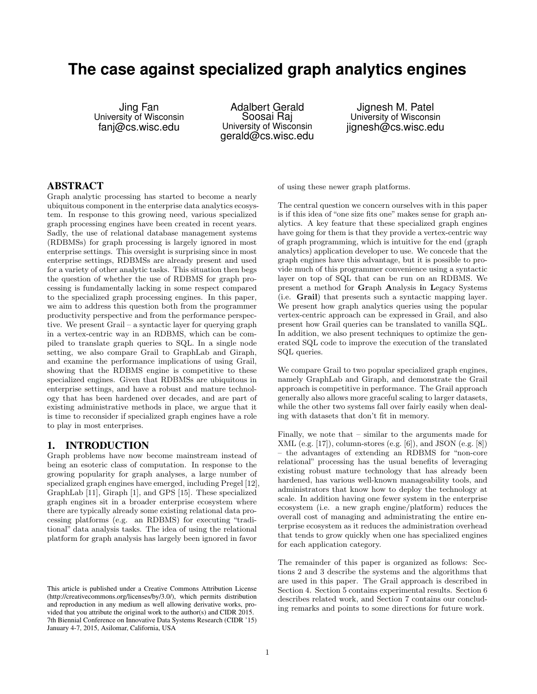# **The case against specialized graph analytics engines**

Jing Fan University of Wisconsin fanj@cs.wisc.edu

Adalbert Gerald Soosai Raj University of Wisconsin gerald@cs.wisc.edu

Jignesh M. Patel University of Wisconsin jignesh@cs.wisc.edu

# ABSTRACT

Graph analytic processing has started to become a nearly ubiquitous component in the enterprise data analytics ecosystem. In response to this growing need, various specialized graph processing engines have been created in recent years. Sadly, the use of relational database management systems (RDBMSs) for graph processing is largely ignored in most enterprise settings. This oversight is surprising since in most enterprise settings, RDBMSs are already present and used for a variety of other analytic tasks. This situation then begs the question of whether the use of RDBMS for graph processing is fundamentally lacking in some respect compared to the specialized graph processing engines. In this paper, we aim to address this question both from the programmer productivity perspective and from the performance perspective. We present Grail – a syntactic layer for querying graph in a vertex-centric way in an RDBMS, which can be compiled to translate graph queries to SQL. In a single node setting, we also compare Grail to GraphLab and Giraph, and examine the performance implications of using Grail, showing that the RDBMS engine is competitive to these specialized engines. Given that RDBMSs are ubiquitous in enterprise settings, and have a robust and mature technology that has been hardened over decades, and are part of existing administrative methods in place, we argue that it is time to reconsider if specialized graph engines have a role to play in most enterprises.

# 1. INTRODUCTION

Graph problems have now become mainstream instead of being an esoteric class of computation. In response to the growing popularity for graph analyses, a large number of specialized graph engines have emerged, including Pregel [12], GraphLab [11], Giraph [1], and GPS [15]. These specialized graph engines sit in a broader enterprise ecosystem where there are typically already some existing relational data processing platforms (e.g. an RDBMS) for executing "traditional" data analysis tasks. The idea of using the relational platform for graph analysis has largely been ignored in favor

of using these newer graph platforms.

The central question we concern ourselves with in this paper is if this idea of "one size fits one" makes sense for graph analytics. A key feature that these specialized graph engines have going for them is that they provide a vertex-centric way of graph programming, which is intuitive for the end (graph analytics) application developer to use. We concede that the graph engines have this advantage, but it is possible to provide much of this programmer convenience using a syntactic layer on top of SQL that can be run on an RDBMS. We present a method for Graph Analysis in Legacy Systems (i.e. Grail) that presents such a syntactic mapping layer. We present how graph analytics queries using the popular vertex-centric approach can be expressed in Grail, and also present how Grail queries can be translated to vanilla SQL. In addition, we also present techniques to optimize the generated SQL code to improve the execution of the translated SQL queries.

We compare Grail to two popular specialized graph engines, namely GraphLab and Giraph, and demonstrate the Grail approach is competitive in performance. The Grail approach generally also allows more graceful scaling to larger datasets, while the other two systems fall over fairly easily when dealing with datasets that don't fit in memory.

Finally, we note that – similar to the arguments made for XML (e.g. [17]), column-stores (e.g. [6]), and JSON (e.g. [8]) – the advantages of extending an RDBMS for "non-core relational" processing has the usual benefits of leveraging existing robust mature technology that has already been hardened, has various well-known manageability tools, and administrators that know how to deploy the technology at scale. In addition having one fewer system in the enterprise ecosystem (i.e. a new graph engine/platform) reduces the overall cost of managing and administrating the entire enterprise ecosystem as it reduces the administration overhead that tends to grow quickly when one has specialized engines for each application category.

The remainder of this paper is organized as follows: Sections 2 and 3 describe the systems and the algorithms that are used in this paper. The Grail approach is described in Section 4. Section 5 contains experimental results. Section 6 describes related work, and Section 7 contains our concluding remarks and points to some directions for future work.

This article is published under a Creative Commons Attribution License (http://creativecommons.org/licenses/by/3.0/), which permits distribution and reproduction in any medium as well allowing derivative works, provided that you attribute the original work to the author(s) and CIDR 2015. 7th Biennial Conference on Innovative Data Systems Research (CIDR '15) January 4-7, 2015, Asilomar, California, USA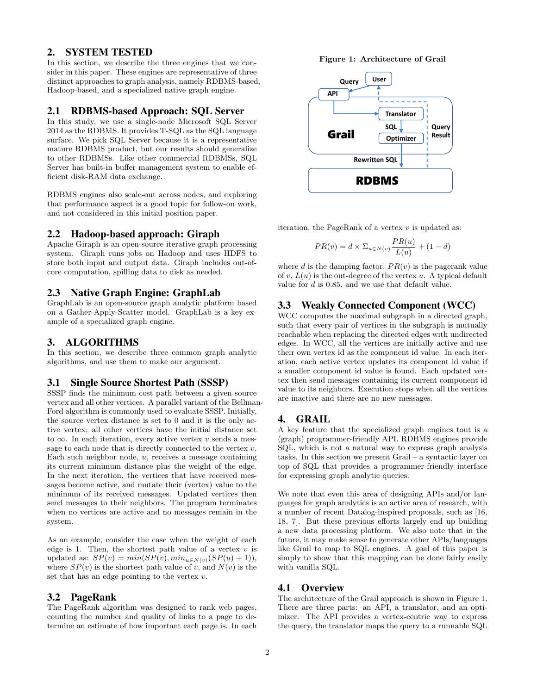# 2. SYSTEM TESTED

In this section, we describe the three engines that we consider in this paper. These engines are representative of three distinct approaches to graph analysis, namely RDBMS-based, Hadoop-based, and a specialized native graph engine.

# 2.1 RDBMS-based Approach: SQL Server

In this study, we use a single-node Microsoft SQL Server 2014 as the RDBMS. It provides T-SQL as the SQL language surface. We pick SQL Server because it is a representative mature RDBMS product, but our results should generalize to other RDBMSs. Like other commercial RDBMSs, SQL Server has built-in buffer management system to enable efficient disk-RAM data exchange.

RDBMS engines also scale-out across nodes, and exploring that performance aspect is a good topic for follow-on work, and not considered in this initial position paper.

#### 2.2 Hadoop-based approach: Giraph

Apache Giraph is an open-source iterative graph processing system. Giraph runs jobs on Hadoop and uses HDFS to store both input and output data. Giraph includes out-ofcore computation, spilling data to disk as needed.

# 2.3 Native Graph Engine: GraphLab

GraphLab is an open-source graph analytic platform based on a Gather-Apply-Scatter model. GraphLab is a key example of a specialized graph engine.

# 3. ALGORITHMS

In this section, we describe three common graph analytic algorithms, and use them to make our argument.

#### 3.1 Single Source Shortest Path (SSSP)

SSSP finds the minimum cost path between a given source vertex and all other vertices. A parallel variant of the Bellman-Ford algorithm is commonly used to evaluate SSSP. Initially, the source vertex distance is set to 0 and it is the only active vertex; all other vertices have the initial distance set to  $\infty$ . In each iteration, every active vertex v sends a message to each node that is directly connected to the vertex  $v$ . Each such neighbor node,  $u$ , receives a message containing its current minimum distance plus the weight of the edge. In the next iteration, the vertices that have received messages become active, and mutate their (vertex) value to the minimum of its received messages. Updated vertices then send messages to their neighbors. The program terminates when no vertices are active and no messages remain in the system.

As an example, consider the case when the weight of each edge is 1. Then, the shortest path value of a vertex  $v$  is updated as:  $SP(v) = min(SP(v), min_{u \in N(v)}(SP(u) + 1)),$ where  $SP(v)$  is the shortest path value of v, and  $N(v)$  is the set that has an edge pointing to the vertex  $v$ .

## 3.2 PageRank

The PageRank algorithm was designed to rank web pages, counting the number and quality of links to a page to determine an estimate of how important each page is. In each





iteration, the PageRank of a vertex  $v$  is updated as:

$$
PR(v) = d \times \Sigma_{u \in N(v)} \frac{PR(u)}{L(u)} + (1 - d)
$$

where d is the damping factor,  $PR(v)$  is the pagerank value of v,  $L(u)$  is the out-degree of the vertex u. A typical default value for d is 0.85, and we use that default value.

# 3.3 Weakly Connected Component (WCC)

WCC computes the maximal subgraph in a directed graph, such that every pair of vertices in the subgraph is mutually reachable when replacing the directed edges with undirected edges. In WCC, all the vertices are initially active and use their own vertex id as the component id value. In each iteration, each active vertex updates its component id value if a smaller component id value is found. Each updated vertex then send messages containing its current component id value to its neighbors. Execution stops when all the vertices are inactive and there are no new messages.

# 4. GRAIL

A key feature that the specialized graph engines tout is a (graph) programmer-friendly API. RDBMS engines provide SQL, which is not a natural way to express graph analysis tasks. In this section we present Grail – a syntactic layer on top of SQL that provides a programmer-friendly interface for expressing graph analytic queries.

We note that even this area of designing APIs and/or languages for graph analytics is an active area of research, with a number of recent Datalog-inspired proposals, such as [16, 18, 7]. But these previous efforts largely end up building a new data processing platform. We also note that in the future, it may make sense to generate other APIs/languages like Grail to map to SQL engines. A goal of this paper is simply to show that this mapping can be done fairly easily with vanilla SQL.

# 4.1 Overview

The architecture of the Grail approach is shown in Figure 1. There are three parts: an API, a translator, and an optimizer. The API provides a vertex-centric way to express the query, the translator maps the query to a runnable SQL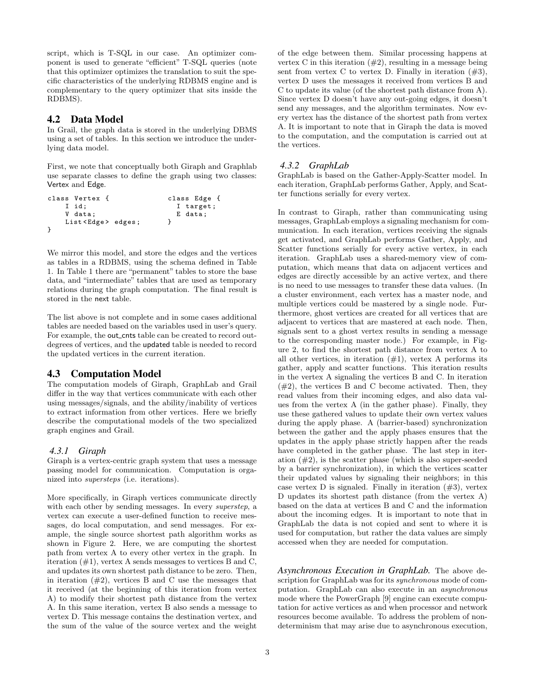script, which is T-SQL in our case. An optimizer component is used to generate "efficient" T-SQL queries (note that this optimizer optimizes the translation to suit the specific characteristics of the underlying RDBMS engine and is complementary to the query optimizer that sits inside the RDBMS).

# 4.2 Data Model

In Grail, the graph data is stored in the underlying DBMS using a set of tables. In this section we introduce the underlying data model.

First, we note that conceptually both Giraph and Graphlab use separate classes to define the graph using two classes: Vertex and Edge.

| class Vertex {            | class Edge { |
|---------------------------|--------------|
| I id:                     | I target;    |
| V data:                   | E data;      |
| List <edge> edges;</edge> |              |
|                           |              |

We mirror this model, and store the edges and the vertices as tables in a RDBMS, using the schema defined in Table 1. In Table 1 there are "permanent" tables to store the base data, and "intermediate" tables that are used as temporary relations during the graph computation. The final result is stored in the next table.

The list above is not complete and in some cases additional tables are needed based on the variables used in user's query. For example, the out\_cnts table can be created to record outdegrees of vertices, and the updated table is needed to record the updated vertices in the current iteration.

# 4.3 Computation Model

The computation models of Giraph, GraphLab and Grail differ in the way that vertices communicate with each other using messages/signals, and the ability/inability of vertices to extract information from other vertices. Here we briefly describe the computational models of the two specialized graph engines and Grail.

#### *4.3.1 Giraph*

Giraph is a vertex-centric graph system that uses a message passing model for communication. Computation is organized into supersteps (i.e. iterations).

More specifically, in Giraph vertices communicate directly with each other by sending messages. In every *superstep*, a vertex can execute a user-defined function to receive messages, do local computation, and send messages. For example, the single source shortest path algorithm works as shown in Figure 2. Here, we are computing the shortest path from vertex A to every other vertex in the graph. In iteration (#1), vertex A sends messages to vertices B and C, and updates its own shortest path distance to be zero. Then, in iteration  $(\#2)$ , vertices B and C use the messages that it received (at the beginning of this iteration from vertex A) to modify their shortest path distance from the vertex A. In this same iteration, vertex B also sends a message to vertex D. This message contains the destination vertex, and the sum of the value of the source vertex and the weight

of the edge between them. Similar processing happens at vertex C in this iteration  $(\#2)$ , resulting in a message being sent from vertex C to vertex D. Finally in iteration  $(\#3)$ , vertex D uses the messages it received from vertices B and C to update its value (of the shortest path distance from A). Since vertex D doesn't have any out-going edges, it doesn't send any messages, and the algorithm terminates. Now every vertex has the distance of the shortest path from vertex A. It is important to note that in Giraph the data is moved to the computation, and the computation is carried out at the vertices.

#### *4.3.2 GraphLab*

GraphLab is based on the Gather-Apply-Scatter model. In each iteration, GraphLab performs Gather, Apply, and Scatter functions serially for every vertex.

In contrast to Giraph, rather than communicating using messages, GraphLab employs a signaling mechanism for communication. In each iteration, vertices receiving the signals get activated, and GraphLab performs Gather, Apply, and Scatter functions serially for every active vertex, in each iteration. GraphLab uses a shared-memory view of computation, which means that data on adjacent vertices and edges are directly accessible by an active vertex, and there is no need to use messages to transfer these data values. (In a cluster environment, each vertex has a master node, and multiple vertices could be mastered by a single node. Furthermore, ghost vertices are created for all vertices that are adjacent to vertices that are mastered at each node. Then, signals sent to a ghost vertex results in sending a message to the corresponding master node.) For example, in Figure 2, to find the shortest path distance from vertex A to all other vertices, in iteration  $(\#1)$ , vertex A performs its gather, apply and scatter functions. This iteration results in the vertex A signaling the vertices B and C. In iteration  $(\#2)$ , the vertices B and C become activated. Then, they read values from their incoming edges, and also data values from the vertex A (in the gather phase). Finally, they use these gathered values to update their own vertex values during the apply phase. A (barrier-based) synchronization between the gather and the apply phases ensures that the updates in the apply phase strictly happen after the reads have completed in the gather phase. The last step in iteration  $(\#2)$ , is the scatter phase (which is also super-seeded by a barrier synchronization), in which the vertices scatter their updated values by signaling their neighbors; in this case vertex  $D$  is signaled. Finally in iteration  $(\#3)$ , vertex D updates its shortest path distance (from the vertex A) based on the data at vertices B and C and the information about the incoming edges. It is important to note that in GraphLab the data is not copied and sent to where it is used for computation, but rather the data values are simply accessed when they are needed for computation.

*Asynchronous Execution in GraphLab.* The above description for GraphLab was for its synchronous mode of computation. GraphLab can also execute in an asynchronous mode where the PowerGraph [9] engine can execute computation for active vertices as and when processor and network resources become available. To address the problem of nondeterminism that may arise due to asynchronous execution,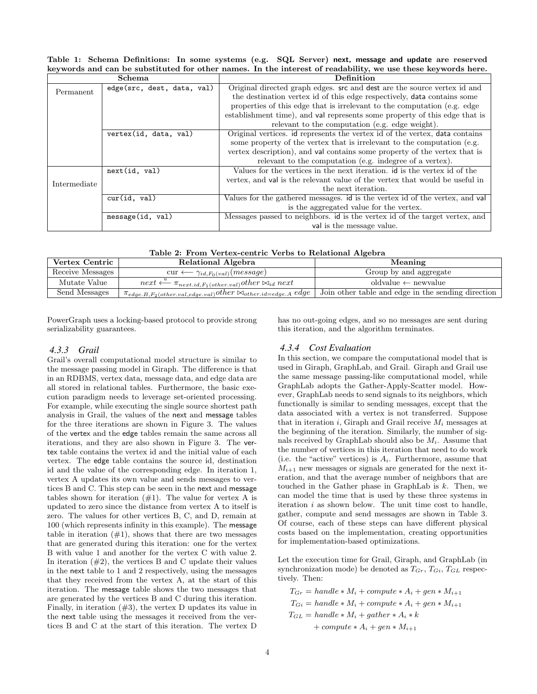Table 1: Schema Definitions: In some systems (e.g. SQL Server) next, message and update are reserved keywords and can be substituted for other names. In the interest of readability, we use these keywords here.

|              | <b>Schema</b>                                                               | Definition                                                                   |  |  |
|--------------|-----------------------------------------------------------------------------|------------------------------------------------------------------------------|--|--|
| Permanent    | edge(src, dest, data, val)                                                  | Original directed graph edges. src and dest are the source vertex id and     |  |  |
|              |                                                                             | the destination vertex id of this edge respectively, data contains some      |  |  |
|              |                                                                             | properties of this edge that is irrelevant to the computation (e.g. edge)    |  |  |
|              |                                                                             | establishment time), and val represents some property of this edge that is   |  |  |
|              | relevant to the computation (e.g. edge weight).                             |                                                                              |  |  |
|              | Original vertices. id represents the vertex id of the vertex, data contains |                                                                              |  |  |
|              |                                                                             | some property of the vertex that is irrelevant to the computation (e.g.      |  |  |
|              |                                                                             | vertex description), and val contains some property of the vertex that is    |  |  |
|              |                                                                             | relevant to the computation (e.g. indegree of a vertex).                     |  |  |
|              | next(id, val)                                                               | Values for the vertices in the next iteration, id is the vertex id of the    |  |  |
| Intermediate |                                                                             | vertex, and val is the relevant value of the vertex that would be useful in  |  |  |
|              |                                                                             | the next iteration.                                                          |  |  |
|              | cur(id, val)                                                                | Values for the gathered messages. id is the vertex id of the vertex, and val |  |  |
|              |                                                                             | is the aggregated value for the vertex.                                      |  |  |
|              | message(id, val)                                                            | Messages passed to neighbors, id is the vertex id of the target vertex, and  |  |  |
|              |                                                                             | val is the message value.                                                    |  |  |

Table 2: From Vertex-centric Verbs to Relational Algebra

| Receive Messages<br>Group by and aggregate<br>$cur \longleftarrow \gamma_{id.F_0(val)}(message)$                                                                 |  |
|------------------------------------------------------------------------------------------------------------------------------------------------------------------|--|
|                                                                                                                                                                  |  |
| Mutate Value<br>oldvalue $\leftarrow$ newvalue<br>$next \xleftarrow{a} \pi_{next.id, F_1(other.val)}other \bowtie_{id} next$                                     |  |
| Send Messages<br>Join other table and edge in the sending direction<br>$\pi_{edge. B, F_2(other. val, edge. val)} other \bowtie_{other. id = edge. A} edge \mid$ |  |

PowerGraph uses a locking-based protocol to provide strong serializability guarantees.

# *4.3.3 Grail*

Grail's overall computational model structure is similar to the message passing model in Giraph. The difference is that in an RDBMS, vertex data, message data, and edge data are all stored in relational tables. Furthermore, the basic execution paradigm needs to leverage set-oriented processing. For example, while executing the single source shortest path analysis in Grail, the values of the next and message tables for the three iterations are shown in Figure 3. The values of the vertex and the edge tables remain the same across all iterations, and they are also shown in Figure 3. The vertex table contains the vertex id and the initial value of each vertex. The edge table contains the source id, destination id and the value of the corresponding edge. In iteration 1, vertex A updates its own value and sends messages to vertices B and C. This step can be seen in the next and message tables shown for iteration  $(\#1)$ . The value for vertex A is updated to zero since the distance from vertex A to itself is zero. The values for other vertices B, C, and D, remain at 100 (which represents infinity in this example). The message table in iteration  $(\#1)$ , shows that there are two messages that are generated during this iteration: one for the vertex B with value 1 and another for the vertex C with value 2. In iteration  $(\#2)$ , the vertices B and C update their values in the next table to 1 and 2 respectively, using the messages that they received from the vertex A, at the start of this iteration. The message table shows the two messages that are generated by the vertices B and C during this iteration. Finally, in iteration  $(\#3)$ , the vertex D updates its value in the next table using the messages it received from the vertices B and C at the start of this iteration. The vertex D has no out-going edges, and so no messages are sent during this iteration, and the algorithm terminates.

#### *4.3.4 Cost Evaluation*

In this section, we compare the computational model that is used in Giraph, GraphLab, and Grail. Giraph and Grail use the same message passing-like computational model, while GraphLab adopts the Gather-Apply-Scatter model. However, GraphLab needs to send signals to its neighbors, which functionally is similar to sending messages, except that the data associated with a vertex is not transferred. Suppose that in iteration i, Giraph and Grail receive  $M_i$  messages at the beginning of the iteration. Similarly, the number of signals received by GraphLab should also be  $M_i$ . Assume that the number of vertices in this iteration that need to do work (i.e. the "active" vertices) is  $A_i$ . Furthermore, assume that  $M_{i+1}$  new messages or signals are generated for the next iteration, and that the average number of neighbors that are touched in the Gather phase in GraphLab is  $k$ . Then, we can model the time that is used by these three systems in iteration  $i$  as shown below. The unit time cost to handle, gather, compute and send messages are shown in Table 3. Of course, each of these steps can have different physical costs based on the implementation, creating opportunities for implementation-based optimizations.

Let the execution time for Grail, Giraph, and GraphLab (in synchronization mode) be denoted as  $T_{Gr}$ ,  $T_{Gi}$ ,  $T_{GL}$  respectively. Then:

 $T_{Gr} = handle * M_i + compute * A_i + gen * M_{i+1}$  $T_{Gi} = handle * M_i + compute * A_i + gen * M_{i+1}$  $T_{GL} = handle * M_i + gather * A_i * k$ + compute  $* A_i + gen * M_{i+1}$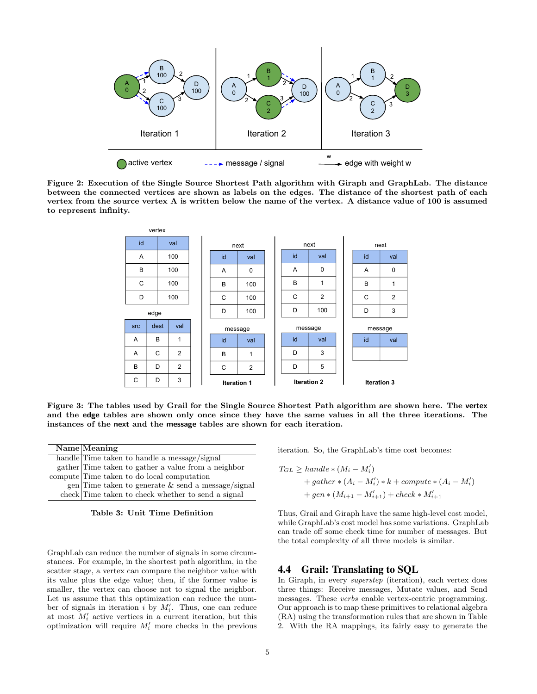

Figure 2: Execution of the Single Source Shortest Path algorithm with Giraph and GraphLab. The distance between the connected vertices are shown as labels on the edges. The distance of the shortest path of each vertex from the source vertex A is written below the name of the vertex. A distance value of 100 is assumed to represent infinity.



Figure 3: The tables used by Grail for the Single Source Shortest Path algorithm are shown here. The vertex and the edge tables are shown only once since they have the same values in all the three iterations. The instances of the next and the message tables are shown for each iteration.

Name Meaning handle Time taken to handle a message/signal gather Time taken to gather a value from a neighbor compute Time taken to do local computation gen Time taken to generate  $\&$  send a message/signal check Time taken to check whether to send a signal

Table 3: Unit Time Definition

GraphLab can reduce the number of signals in some circumstances. For example, in the shortest path algorithm, in the scatter stage, a vertex can compare the neighbor value with its value plus the edge value; then, if the former value is smaller, the vertex can choose not to signal the neighbor. Let us assume that this optimization can reduce the number of signals in iteration i by  $M_i'$ . Thus, one can reduce at most  $M_i'$  active vertices in a current iteration, but this optimization will require  $M_i'$  more checks in the previous

iteration. So, the GraphLab's time cost becomes:

$$
T_{GL} \geq handle * (M_i - M'_i)
$$
  
+ 
$$
gather * (A_i - M'_i) * k + compute * (A_i - M'_i)
$$
  
+ 
$$
gen * (M_{i+1} - M'_{i+1}) + check * M'_{i+1}
$$

Thus, Grail and Giraph have the same high-level cost model, while GraphLab's cost model has some variations. GraphLab can trade off some check time for number of messages. But the total complexity of all three models is similar.

# 4.4 Grail: Translating to SQL

In Giraph, in every superstep (iteration), each vertex does three things: Receive messages, Mutate values, and Send messages. These verbs enable vertex-centric programming. Our approach is to map these primitives to relational algebra (RA) using the transformation rules that are shown in Table 2. With the RA mappings, its fairly easy to generate the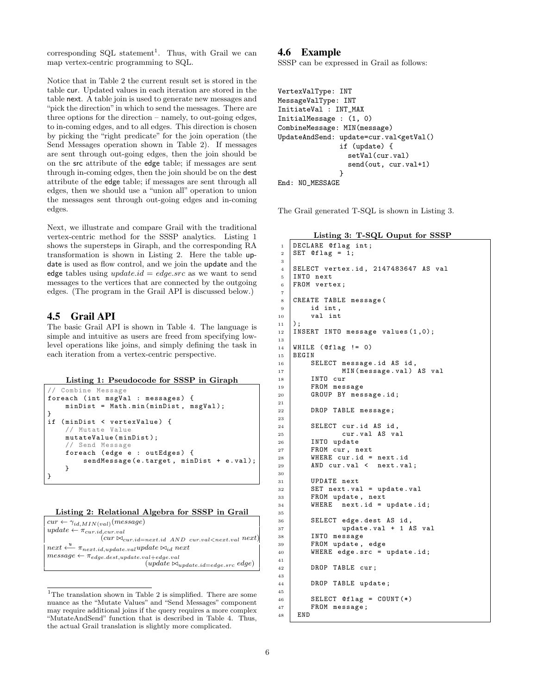corresponding SQL statement<sup>1</sup>. Thus, with Grail we can map vertex-centric programming to SQL.

Notice that in Table 2 the current result set is stored in the table cur. Updated values in each iteration are stored in the table next. A table join is used to generate new messages and "pick the direction" in which to send the messages. There are three options for the direction – namely, to out-going edges, to in-coming edges, and to all edges. This direction is chosen by picking the "right predicate" for the join operation (the Send Messages operation shown in Table 2). If messages are sent through out-going edges, then the join should be on the src attribute of the edge table; if messages are sent through in-coming edges, then the join should be on the dest attribute of the edge table; if messages are sent through all edges, then we should use a "union all" operation to union the messages sent through out-going edges and in-coming edges.

Next, we illustrate and compare Grail with the traditional vertex-centric method for the SSSP analytics. Listing 1 shows the supersteps in Giraph, and the corresponding RA transformation is shown in Listing 2. Here the table update is used as flow control, and we join the update and the edge tables using  $update.id = edge.src$  as we want to send messages to the vertices that are connected by the outgoing edges. (The program in the Grail API is discussed below.)

# 4.5 Grail API

The basic Grail API is shown in Table 4. The language is simple and intuitive as users are freed from specifying lowlevel operations like joins, and simply defining the task in each iteration from a vertex-centric perspective.

```
Listing 1: Pseudocode for SSSP in Giraph
```

```
Combine Message
foreach ( int msgVal : messages ) {
    minDist = Math . min ( minDist , msgVal );
}
if (minDist < vertexValue) {
    // Mutate Value
    mutateValue ( minDist );
    // Send Message
    foreach (edge e : outEdges) {
         sendMessage (e. target , minDist + e. val );
    }
}
```

|  | Listing 2: Relational Algebra for SSSP in Grail |  |  |  |
|--|-------------------------------------------------|--|--|--|
|  |                                                 |  |  |  |

| $cur \leftarrow \gamma_{id,MIN(val)}(message)$                                                      |
|-----------------------------------------------------------------------------------------------------|
| $update \leftarrow \pi_{cur.id, cur.val}$                                                           |
| $(cur \Join_{cur.id = next.id} AND_{cur.val < next.val} next)$                                      |
| $next \xleftarrow{u} \pi_{next.id, update.val} update \bowtie_i d next$                             |
| $message \leftarrow \pi_{edge.dest, update.val + edge.val}$                                         |
| $(\textit{update} \bowtie_{\textit{update}.\textit{id} = \textit{edge}.\textit{src} \textit{edge})$ |

 $1$ The translation shown in Table 2 is simplified. There are some nuance as the "Mutate Values" and "Send Messages" component may require additional joins if the query requires a more complex "MutateAndSend" function that is described in Table 4. Thus, the actual Grail translation is slightly more complicated.

## 4.6 Example

SSSP can be expressed in Grail as follows:

```
VertexValType: INT
MessageValType: INT
InitiateVal : INT_MAX
InitialMessage : (1, 0)
CombineMessage: MIN(message)
UpdateAndSend: update=cur.val<getVal()
               if (update) {
                 setVal(cur.val)
                 send(out, cur.val+1)
               }
End: NO_MESSAGE
```
The Grail generated T-SQL is shown in Listing 3.

Listing 3: T-SQL Ouput for SSSP

```
1 DECLARE @flag int;
2 SET @flag = 1;
3
4 SELECT vertex .id , 2147483647 AS val
5 INTO next
6 FROM vertex ;
\overline{7}8 CREATE TABLE message (
\begin{array}{c|c} 9 & \text{id int,} \\ 10 & \text{val int} \end{array}val int<br>):
1112 INSERT INTO message values (1 ,0);
13
14 WHILE (Oflag != 0)
15 BEGIN
16 SELECT message.id AS id,
17 MIN (message . val) AS val
18 INTO cur
19 FROM message
20 GROUP BY message . id ;
21
22 DROP TABLE message ;
23
24 SELECT cur . id AS id ,
25 cur . val AS val
26 INTO update
\begin{array}{c|c} 27 \\ 28 \end{array} FROM cur, next<br>
\begin{array}{c} \text{WHERE} \\ \text{WHERE} \end{array}WHERE cur.id = next.id
_{29} AND cur. val < next. val;
30
31 UPDATE next
32 SET next . val = update . val
33 FROM update , next
34 WHERE next.id = update.id;
35
36 SELECT edge . dest AS id ,
37 update . val + 1 AS val
38 INTO message
39 FROM update , edge
40 WHERE edge.src = update.id;
41
42 DROP TABLE cur;
43
44 DROP TABLE update ;
45
46 SELECT @flag = COUNT (*)
47 FROM message ;
48 END
```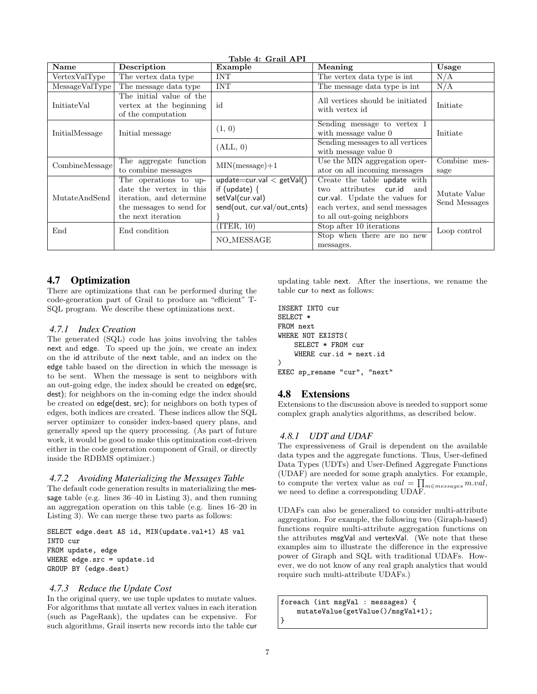| Name           | Description                                                                                                                    | Table 4: Grail API<br>Example                                                                     | Meaning                                                                                                                                                        |                               |
|----------------|--------------------------------------------------------------------------------------------------------------------------------|---------------------------------------------------------------------------------------------------|----------------------------------------------------------------------------------------------------------------------------------------------------------------|-------------------------------|
| VertexValType  | The vertex data type                                                                                                           | <b>INT</b>                                                                                        | The vertex data type is int.                                                                                                                                   | N/A                           |
| MessageValType | The message data type                                                                                                          | <b>INT</b>                                                                                        | The message data type is int.                                                                                                                                  | N/A                           |
| InitiateVal    | The initial value of the<br>vertex at the beginning<br>of the computation                                                      | id                                                                                                | All vertices should be initiated<br>with vertex id                                                                                                             | Initiate                      |
| InitialMessage | Initial message                                                                                                                | (1, 0)                                                                                            | Sending message to vertex 1<br>with message value 0<br>Initiate                                                                                                |                               |
|                |                                                                                                                                | (ALL, 0)                                                                                          | Sending messages to all vertices<br>with message value 0                                                                                                       |                               |
| CombineMessage | The aggregate function<br>to combine messages                                                                                  | $MIN(message) + 1$                                                                                | Use the MIN aggregation oper-<br>ator on all incoming messages                                                                                                 | Combine mes-<br>sage          |
| MutateAndSend  | The operations to up-<br>date the vertex in this<br>iteration, and determine<br>the messages to send for<br>the next iteration | $update=cur.val < getVal()$<br>if (update) $\{$<br>setVal(cur.val)<br>send(out, cur.val/out_cnts) | Create the table update with<br>attributes cur.id and<br>two<br>cur.val. Update the values for<br>each vertex, and send messages<br>to all out-going neighbors | Mutate Value<br>Send Messages |
| End            | End condition                                                                                                                  | (TER, 10)<br>NO_MESSAGE                                                                           | Stop after 10 iterations<br>Stop when there are no new<br>messages.                                                                                            | Loop control                  |

# 4.7 Optimization

There are optimizations that can be performed during the code-generation part of Grail to produce an "efficient" T-SQL program. We describe these optimizations next.

# *4.7.1 Index Creation*

The generated (SQL) code has joins involving the tables next and edge. To speed up the join, we create an index on the id attribute of the next table, and an index on the edge table based on the direction in which the message is to be sent. When the message is sent to neighbors with an out-going edge, the index should be created on edge(src, dest); for neighbors on the in-coming edge the index should be created on edge(dest, src); for neighbors on both types of edges, both indices are created. These indices allow the SQL server optimizer to consider index-based query plans, and generally speed up the query processing. (As part of future work, it would be good to make this optimization cost-driven either in the code generation component of Grail, or directly inside the RDBMS optimizer.)

# *4.7.2 Avoiding Materializing the Messages Table*

The default code generation results in materializing the message table (e.g. lines 36–40 in Listing 3), and then running an aggregation operation on this table (e.g. lines 16–20 in Listing 3). We can merge these two parts as follows:

SELECT edge.dest AS id, MIN(update.val+1) AS val INTO cur FROM update, edge WHERE edge.src = update.id GROUP BY (edge.dest)

# *4.7.3 Reduce the Update Cost*

In the original query, we use tuple updates to mutate values. For algorithms that mutate all vertex values in each iteration (such as PageRank), the updates can be expensive. For such algorithms, Grail inserts new records into the table cur updating table next. After the insertions, we rename the table cur to next as follows:

```
INSERT INTO cur
SELECT *
FROM next
WHERE NOT EXISTS(
    SELECT * FROM cur
    WHERE cur.id = next.id)
EXEC sp_rename "cur", "next"
```
# 4.8 Extensions

Extensions to the discussion above is needed to support some complex graph analytics algorithms, as described below.

# *4.8.1 UDT and UDAF*

The expressiveness of Grail is dependent on the available data types and the aggregate functions. Thus, User-defined Data Types (UDTs) and User-Defined Aggregate Functions (UDAF) are needed for some graph analytics. For example, to compute the vertex value as  $val = \prod_{m \in messages} m.val,$ we need to define a corresponding UDAF.

UDAFs can also be generalized to consider multi-attribute aggregation. For example, the following two (Giraph-based) functions require multi-attribute aggregation functions on the attributes msgVal and vertexVal. (We note that these examples aim to illustrate the difference in the expressive power of Giraph and SQL with traditional UDAFs. However, we do not know of any real graph analytics that would require such multi-attribute UDAFs.)

```
foreach (int msgVal : messages) {
    mutateValue(getValue()/msgVal+1);
}
```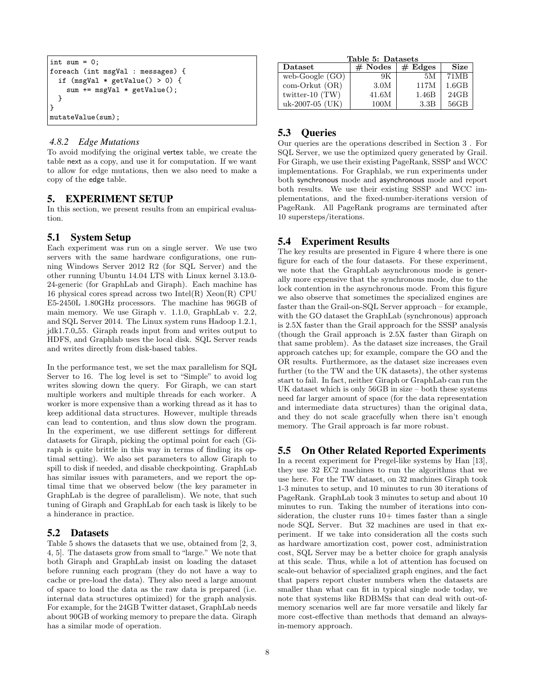```
int sum = 0;
foreach (int msgVal : messages) {
  if (msgVal * getValue() > 0) {
    sum += msgVal * getValue();
  }
}
mutateValue(sum);
```
# *4.8.2 Edge Mutations*

To avoid modifying the original vertex table, we create the table next as a copy, and use it for computation. If we want to allow for edge mutations, then we also need to make a copy of the edge table.

# 5. EXPERIMENT SETUP

In this section, we present results from an empirical evaluation.

#### 5.1 System Setup

Each experiment was run on a single server. We use two servers with the same hardware configurations, one running Windows Server 2012 R2 (for SQL Server) and the other running Ubuntu 14.04 LTS with Linux kernel 3.13.0- 24-generic (for GraphLab and Giraph). Each machine has 16 physical cores spread across two Intel(R) Xeon(R) CPU E5-2450L 1.80GHz processors. The machine has 96GB of main memory. We use Giraph v. 1.1.0, GraphLab v. 2.2, and SQL Server 2014. The Linux system runs Hadoop 1.2.1, jdk1.7.0 55. Giraph reads input from and writes output to HDFS, and Graphlab uses the local disk. SQL Server reads and writes directly from disk-based tables.

In the performance test, we set the max parallelism for SQL Server to 16. The log level is set to "Simple" to avoid log writes slowing down the query. For Giraph, we can start multiple workers and multiple threads for each worker. A worker is more expensive than a working thread as it has to keep additional data structures. However, multiple threads can lead to contention, and thus slow down the program. In the experiment, we use different settings for different datasets for Giraph, picking the optimal point for each (Giraph is quite brittle in this way in terms of finding its optimal setting). We also set parameters to allow Giraph to spill to disk if needed, and disable checkpointing. GraphLab has similar issues with parameters, and we report the optimal time that we observed below (the key parameter in GraphLab is the degree of parallelism). We note, that such tuning of Giraph and GraphLab for each task is likely to be a hinderance in practice.

#### 5.2 Datasets

Table 5 shows the datasets that we use, obtained from [2, 3, 4, 5]. The datasets grow from small to "large." We note that both Giraph and GraphLab insist on loading the dataset before running each program (they do not have a way to cache or pre-load the data). They also need a large amount of space to load the data as the raw data is prepared (i.e. internal data structures optimized) for the graph analysis. For example, for the 24GB Twitter dataset, GraphLab needs about 90GB of working memory to prepare the data. Giraph has a similar mode of operation.

| Table 5: Datasets |           |         |             |  |  |
|-------------------|-----------|---------|-------------|--|--|
| Dataset           | $#$ Nodes | # Edges | <b>Size</b> |  |  |
| web-Google $(GO)$ | 9K        | 5М      | 71MB        |  |  |
| com-Orkut (OR)    | 3.0M      | 117M    | 1.6GB       |  |  |
| twitter-10 $(TW)$ | 41.6M     | 1.46B   | 24GB        |  |  |
| uk-2007-05 (UK)   | 100M      | 3.3B    | 56GB        |  |  |

# 5.3 Queries

Our queries are the operations described in Section 3 . For SQL Server, we use the optimized query generated by Grail. For Giraph, we use their existing PageRank, SSSP and WCC implementations. For Graphlab, we run experiments under both synchronous mode and asynchronous mode and report both results. We use their existing SSSP and WCC implementations, and the fixed-number-iterations version of PageRank. All PageRank programs are terminated after 10 supersteps/iterations.

# 5.4 Experiment Results

The key results are presented in Figure 4 where there is one figure for each of the four datasets. For these experiment, we note that the GraphLab asynchronous mode is generally more expensive that the synchronous mode, due to the lock contention in the asynchronous mode. From this figure we also observe that sometimes the specialized engines are faster than the Grail-on-SQL Server approach – for example, with the GO dataset the GraphLab (synchronous) approach is 2.5X faster than the Grail approach for the SSSP analysis (though the Grail approach is 2.5X faster than Giraph on that same problem). As the dataset size increases, the Grail approach catches up; for example, compare the GO and the OR results. Furthermore, as the dataset size increases even further (to the TW and the UK datasets), the other systems start to fail. In fact, neither Giraph or GraphLab can run the UK dataset which is only 56GB in size – both these systems need far larger amount of space (for the data representation and intermediate data structures) than the original data, and they do not scale gracefully when there isn't enough memory. The Grail approach is far more robust.

#### 5.5 On Other Related Reported Experiments

In a recent experiment for Pregel-like systems by Han [13], they use 32 EC2 machines to run the algorithms that we use here. For the TW dataset, on 32 machines Giraph took 1-3 minutes to setup, and 10 minutes to run 30 iterations of PageRank. GraphLab took 3 minutes to setup and about 10 minutes to run. Taking the number of iterations into consideration, the cluster runs  $10+$  times faster than a single node SQL Server. But 32 machines are used in that experiment. If we take into consideration all the costs such as hardware amortization cost, power cost, administration cost, SQL Server may be a better choice for graph analysis at this scale. Thus, while a lot of attention has focused on scale-out behavior of specialized graph engines, and the fact that papers report cluster numbers when the datasets are smaller than what can fit in typical single node today, we note that systems like RDBMSs that can deal with out-ofmemory scenarios well are far more versatile and likely far more cost-effective than methods that demand an alwaysin-memory approach.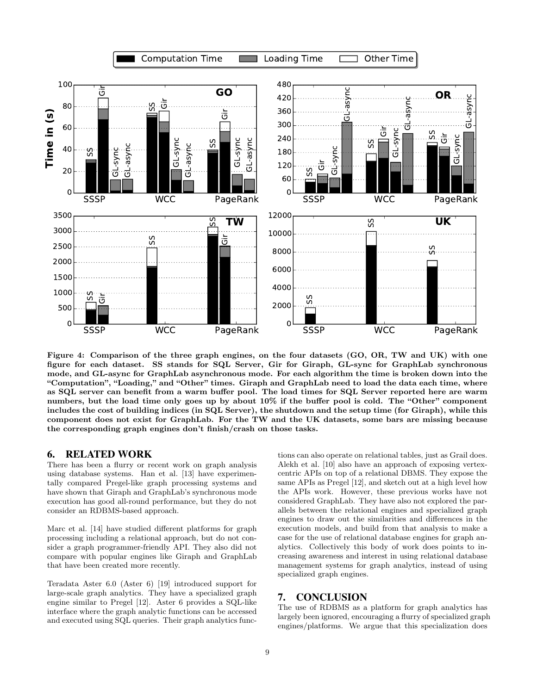

Figure 4: Comparison of the three graph engines, on the four datasets (GO, OR, TW and UK) with one figure for each dataset. SS stands for SQL Server, Gir for Giraph, GL-sync for GraphLab synchronous mode, and GL-async for GraphLab asynchronous mode. For each algorithm the time is broken down into the "Computation", "Loading," and "Other" times. Giraph and GraphLab need to load the data each time, where as SQL server can benefit from a warm buffer pool. The load times for SQL Server reported here are warm numbers, but the load time only goes up by about 10% if the buffer pool is cold. The "Other" component includes the cost of building indices (in SQL Server), the shutdown and the setup time (for Giraph), while this component does not exist for GraphLab. For the TW and the UK datasets, some bars are missing because the corresponding graph engines don't finish/crash on those tasks.

# 6. RELATED WORK

There has been a flurry or recent work on graph analysis using database systems. Han et al. [13] have experimentally compared Pregel-like graph processing systems and have shown that Giraph and GraphLab's synchronous mode execution has good all-round performance, but they do not consider an RDBMS-based approach.

Marc et al. [14] have studied different platforms for graph processing including a relational approach, but do not consider a graph programmer-friendly API. They also did not compare with popular engines like Giraph and GraphLab that have been created more recently.

Teradata Aster 6.0 (Aster 6) [19] introduced support for large-scale graph analytics. They have a specialized graph engine similar to Pregel [12]. Aster 6 provides a SQL-like interface where the graph analytic functions can be accessed and executed using SQL queries. Their graph analytics functions can also operate on relational tables, just as Grail does. Alekh et al. [10] also have an approach of exposing vertexcentric APIs on top of a relational DBMS. They expose the same APIs as Pregel [12], and sketch out at a high level how the APIs work. However, these previous works have not considered GraphLab. They have also not explored the parallels between the relational engines and specialized graph engines to draw out the similarities and differences in the execution models, and build from that analysis to make a case for the use of relational database engines for graph analytics. Collectively this body of work does points to increasing awareness and interest in using relational database management systems for graph analytics, instead of using specialized graph engines.

# 7. CONCLUSION

The use of RDBMS as a platform for graph analytics has largely been ignored, encouraging a flurry of specialized graph engines/platforms. We argue that this specialization does